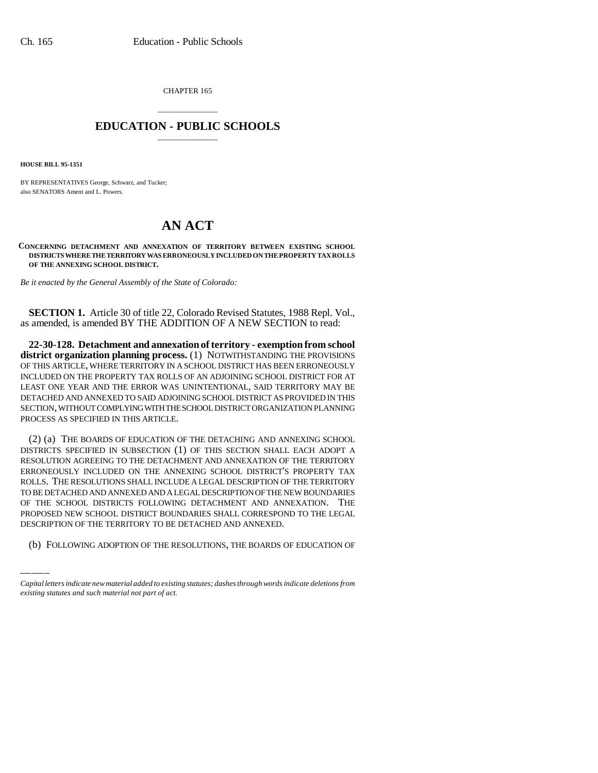CHAPTER 165

## \_\_\_\_\_\_\_\_\_\_\_\_\_\_\_ **EDUCATION - PUBLIC SCHOOLS** \_\_\_\_\_\_\_\_\_\_\_\_\_\_\_

**HOUSE BILL 95-1351**

BY REPRESENTATIVES George, Schwarz, and Tucker; also SENATORS Ament and L. Powers.

## **AN ACT**

**CONCERNING DETACHMENT AND ANNEXATION OF TERRITORY BETWEEN EXISTING SCHOOL DISTRICTS WHERE THE TERRITORY WAS ERRONEOUSLY INCLUDED ON THE PROPERTY TAX ROLLS OF THE ANNEXING SCHOOL DISTRICT.**

*Be it enacted by the General Assembly of the State of Colorado:*

**SECTION 1.** Article 30 of title 22, Colorado Revised Statutes, 1988 Repl. Vol., as amended, is amended BY THE ADDITION OF A NEW SECTION to read:

**22-30-128. Detachment and annexation of territory - exemption from school district organization planning process.** (1) NOTWITHSTANDING THE PROVISIONS OF THIS ARTICLE, WHERE TERRITORY IN A SCHOOL DISTRICT HAS BEEN ERRONEOUSLY INCLUDED ON THE PROPERTY TAX ROLLS OF AN ADJOINING SCHOOL DISTRICT FOR AT LEAST ONE YEAR AND THE ERROR WAS UNINTENTIONAL, SAID TERRITORY MAY BE DETACHED AND ANNEXED TO SAID ADJOINING SCHOOL DISTRICT AS PROVIDED IN THIS SECTION, WITHOUT COMPLYING WITH THE SCHOOL DISTRICT ORGANIZATION PLANNING PROCESS AS SPECIFIED IN THIS ARTICLE.

OF THE SCHOOL DISTRICTS FOLLOWING DETACHMENT AND ANNEXATION. THE (2) (a) THE BOARDS OF EDUCATION OF THE DETACHING AND ANNEXING SCHOOL DISTRICTS SPECIFIED IN SUBSECTION (1) OF THIS SECTION SHALL EACH ADOPT A RESOLUTION AGREEING TO THE DETACHMENT AND ANNEXATION OF THE TERRITORY ERRONEOUSLY INCLUDED ON THE ANNEXING SCHOOL DISTRICT'S PROPERTY TAX ROLLS. THE RESOLUTIONS SHALL INCLUDE A LEGAL DESCRIPTION OF THE TERRITORY TO BE DETACHED AND ANNEXED AND A LEGAL DESCRIPTION OF THE NEW BOUNDARIES PROPOSED NEW SCHOOL DISTRICT BOUNDARIES SHALL CORRESPOND TO THE LEGAL DESCRIPTION OF THE TERRITORY TO BE DETACHED AND ANNEXED.

(b) FOLLOWING ADOPTION OF THE RESOLUTIONS, THE BOARDS OF EDUCATION OF

*Capital letters indicate new material added to existing statutes; dashes through words indicate deletions from existing statutes and such material not part of act.*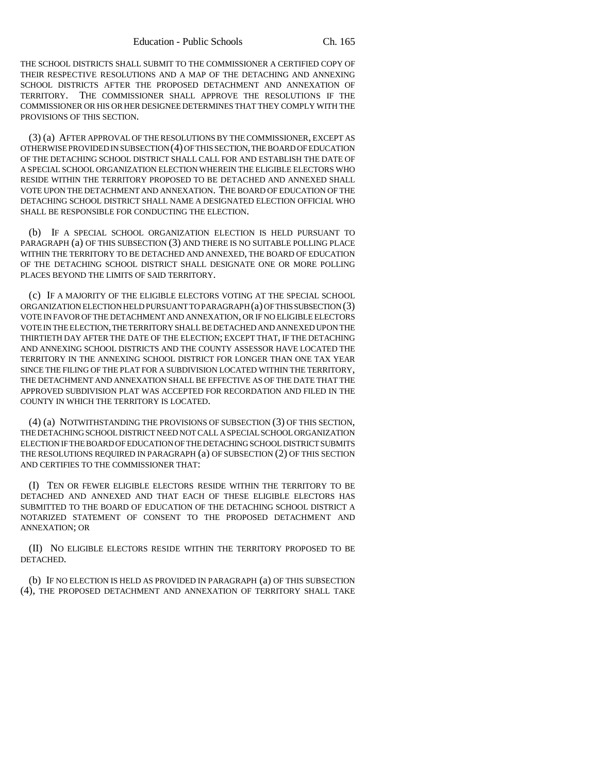THE SCHOOL DISTRICTS SHALL SUBMIT TO THE COMMISSIONER A CERTIFIED COPY OF THEIR RESPECTIVE RESOLUTIONS AND A MAP OF THE DETACHING AND ANNEXING SCHOOL DISTRICTS AFTER THE PROPOSED DETACHMENT AND ANNEXATION OF TERRITORY. THE COMMISSIONER SHALL APPROVE THE RESOLUTIONS IF THE COMMISSIONER OR HIS OR HER DESIGNEE DETERMINES THAT THEY COMPLY WITH THE PROVISIONS OF THIS SECTION.

(3) (a) AFTER APPROVAL OF THE RESOLUTIONS BY THE COMMISSIONER, EXCEPT AS OTHERWISE PROVIDED IN SUBSECTION (4) OF THIS SECTION, THE BOARD OF EDUCATION OF THE DETACHING SCHOOL DISTRICT SHALL CALL FOR AND ESTABLISH THE DATE OF A SPECIAL SCHOOL ORGANIZATION ELECTION WHEREIN THE ELIGIBLE ELECTORS WHO RESIDE WITHIN THE TERRITORY PROPOSED TO BE DETACHED AND ANNEXED SHALL VOTE UPON THE DETACHMENT AND ANNEXATION. THE BOARD OF EDUCATION OF THE DETACHING SCHOOL DISTRICT SHALL NAME A DESIGNATED ELECTION OFFICIAL WHO SHALL BE RESPONSIBLE FOR CONDUCTING THE ELECTION.

(b) IF A SPECIAL SCHOOL ORGANIZATION ELECTION IS HELD PURSUANT TO PARAGRAPH (a) OF THIS SUBSECTION (3) AND THERE IS NO SUITABLE POLLING PLACE WITHIN THE TERRITORY TO BE DETACHED AND ANNEXED, THE BOARD OF EDUCATION OF THE DETACHING SCHOOL DISTRICT SHALL DESIGNATE ONE OR MORE POLLING PLACES BEYOND THE LIMITS OF SAID TERRITORY.

(c) IF A MAJORITY OF THE ELIGIBLE ELECTORS VOTING AT THE SPECIAL SCHOOL ORGANIZATION ELECTION HELD PURSUANT TO PARAGRAPH (a) OF THIS SUBSECTION (3) VOTE IN FAVOR OF THE DETACHMENT AND ANNEXATION, OR IF NO ELIGIBLE ELECTORS VOTE IN THE ELECTION, THE TERRITORY SHALL BE DETACHED AND ANNEXED UPON THE THIRTIETH DAY AFTER THE DATE OF THE ELECTION; EXCEPT THAT, IF THE DETACHING AND ANNEXING SCHOOL DISTRICTS AND THE COUNTY ASSESSOR HAVE LOCATED THE TERRITORY IN THE ANNEXING SCHOOL DISTRICT FOR LONGER THAN ONE TAX YEAR SINCE THE FILING OF THE PLAT FOR A SUBDIVISION LOCATED WITHIN THE TERRITORY, THE DETACHMENT AND ANNEXATION SHALL BE EFFECTIVE AS OF THE DATE THAT THE APPROVED SUBDIVISION PLAT WAS ACCEPTED FOR RECORDATION AND FILED IN THE COUNTY IN WHICH THE TERRITORY IS LOCATED.

(4) (a) NOTWITHSTANDING THE PROVISIONS OF SUBSECTION (3) OF THIS SECTION, THE DETACHING SCHOOL DISTRICT NEED NOT CALL A SPECIAL SCHOOL ORGANIZATION ELECTION IF THE BOARD OF EDUCATION OF THE DETACHING SCHOOL DISTRICT SUBMITS THE RESOLUTIONS REQUIRED IN PARAGRAPH (a) OF SUBSECTION (2) OF THIS SECTION AND CERTIFIES TO THE COMMISSIONER THAT:

(I) TEN OR FEWER ELIGIBLE ELECTORS RESIDE WITHIN THE TERRITORY TO BE DETACHED AND ANNEXED AND THAT EACH OF THESE ELIGIBLE ELECTORS HAS SUBMITTED TO THE BOARD OF EDUCATION OF THE DETACHING SCHOOL DISTRICT A NOTARIZED STATEMENT OF CONSENT TO THE PROPOSED DETACHMENT AND ANNEXATION; OR

(II) NO ELIGIBLE ELECTORS RESIDE WITHIN THE TERRITORY PROPOSED TO BE DETACHED.

(b) IF NO ELECTION IS HELD AS PROVIDED IN PARAGRAPH (a) OF THIS SUBSECTION (4), THE PROPOSED DETACHMENT AND ANNEXATION OF TERRITORY SHALL TAKE